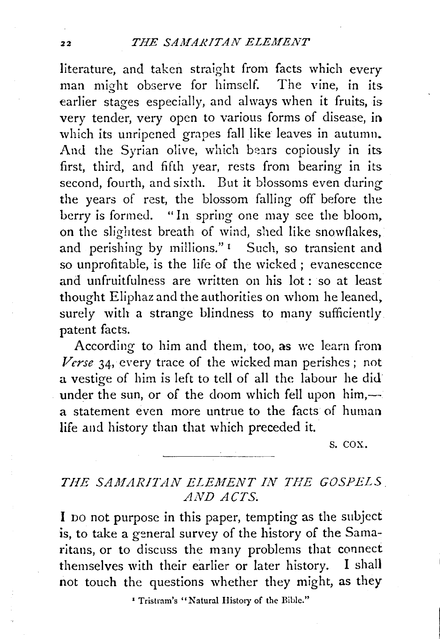literature, and taken straight from facts which every man might observe for himself. The vine, in its earlier stages especially, and always when it fruits, is very tender, very open to various forms of disease, in which its unripened grapes fall like leaves in autumn. And the Syrian olive, which bears copiously in its first, third, and fifth year, rests from bearing in its second, fourth, and sixth. But it blossoms even during the years of rest, the blossom falling off before the berry is formed. "In spring one may see the bloom, on the slightest breath of wind, shed like snowflakes, and perishing by millions."<sup>1</sup> Such, so transient and so unprofitable, is the life of the wicked ; evanescence and unfruitfulness are written on his lot : so at least thought Eliphaz and the authorities on whom he leaned, surely with a strange blindness to many sufficiently. patent facts.

According to him and them, too, as we learn from *Verse* 34, every trace of the wicked man perishes ; not a vestige of him is left to tell of all the labour he did under the sun, or of the doom which fell upon  $him, -$ a statement even more untrue to the facts of human life and history than that which preceded it.

s. cox.

## THE SAMARITAN ELEMENT IN THE GOSPELS *AND ACTS.*

I DO not purpose in this paper, tempting as the subject is, to take a general survey of the history of the Samaritans, or to discuss the many problems that connect themselves with their earlier or later history. I shall not touch the questions whether they might, as they

1 Tristram's "Natural History of the Bible."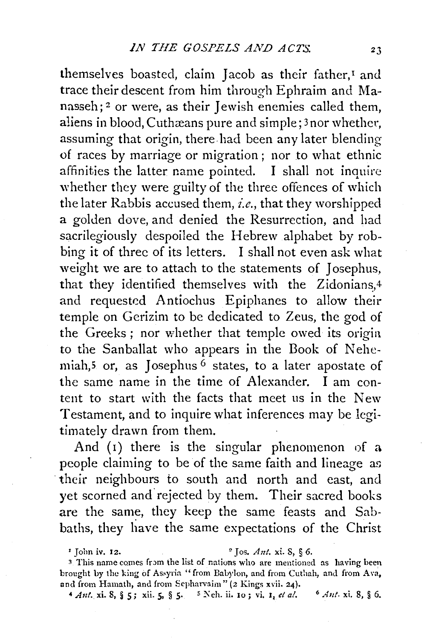themselves boasted, claim Jacob as their father, $I$  and trace their descent from him through Ephraim and Manasseh; 2 or were, as their Jewish enemies called them, aliens in blood, Cuthæans pure and simple; 3 nor whether, assuming that origin, there had been any later blending of races by marriage or migration ; nor to what ethnic affinities the latter name pointed. I shall not inquire whether they were guilty of the three offences of which the later Rabbis accused them, *i.e.,* that they worshipped a golden dove, and denied the Resurrection, and had sacrilegiously despoiled the Hebrew alphabet by robbing it of three of its letters. I shall not even ask what weight we are to attach to the statements of Josephus, that they identified themselves with the Zidonians, $4$ and requested Antiochus Epiphanes to allow their temple on Gerizim to be dedicated to Zeus, the god of the Greeks ; nor whether that temple owed its origia to the Sanballat who appears in the Book of Nehemiah,<sup>5</sup> or, as Josephus<sup>6</sup> states, to a later apostate of the same name in the time of Alexander. I am content to start with the facts that meet us in the New Testament, and to inquire what inferences may be legitimately drawn from them.

And  $(i)$  there is the singular phenomenon of a people claiming to be of the same faith and lineage as their neighbours to south and north and east, and yet scorned and rejected by them. Their sacred books are the same, they keep the same feasts and Sabbaths, they liave the same expectations of the Christ

 $\frac{1}{2}$  Jos. *Ant.* **xi.** 8, § 6.

<sup>3</sup> This name comes from the list of nations who are mentioned as having been brought by the king of Assyria "from Babylon, and from Cuthah, and from Ava, and from Hamath, and from Sepharvaim" (2 Kings xvii. 24).

<sup>4</sup> *Ant.* **xi.** 8, § 5; **xii.** 5, § 5. <sup>5</sup> Neh. ii. 10; vi. 1, et *al.* <sup>6</sup> *Ant.* **xi.** 8, § 6.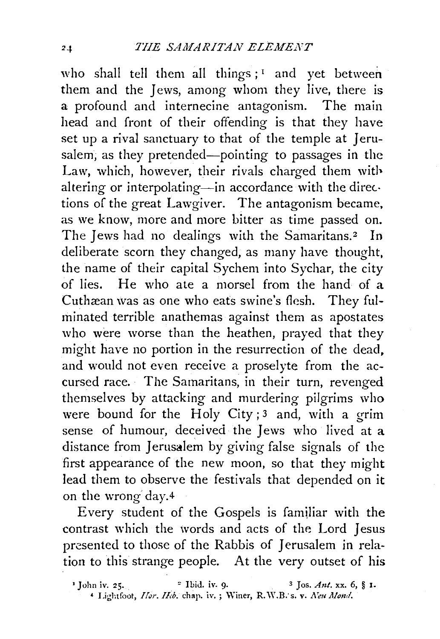who shall tell them all things;  $I$  and yet between them and the Jews, among whom they live, there is a profound and internecine antagonism. The main head and front of their offending is that they have set up a rival sanctuary to that of the temple at Jerusalem, as they pretended-pointing to passages in the Law, which, however, their rivals charged them with altering or interpolating-in accordance with the directions of the great Lawgiver. The antagonism became, as we know, more and more bitter as time passed on. The Jews had no dealings with the Samaritans.<sup>2</sup> In deliberate scorn they changed, as many have thought, the name of their capital Sychem into Sychar, the city of lies. He who ate a morsel from the hand of a Cuthæan was as one who eats swine's flesh. They fulminated terrible anathemas against them as apostates who were worse than the heathen, prayed that they might have no portion in the resurrection of the dead, and would not even receive a proselyte from the accursed race. The Samaritans, in their turn, revenged themselves by attacking and murdering pilgrims who were bound for the Holy City;<sup>3</sup> and, with a grim sense of humour, deceived the Jews who lived at a distance from Jerusalem by giving false signals of the first appearance of the new moon, so that they might lead them to observe the festivals that depended on it on the wrong day.4

Every student of the Gospels is familiar with the contrast which the words and acts of the Lord Jesus presented to those of the Rabbis of Jerusalem in relation to this strange people. At the very outset of his

<sup>&</sup>lt;sup>1</sup> John iv. 25. <sup>2</sup> Ibid. iv. 9. <sup>3</sup> Jos. *Ant.* xx. 6, § 1.  $*$  Lightfoot, *Hor. Heb.* chap. iv. ; Winer, R.W.B. s. v. Neu Mond.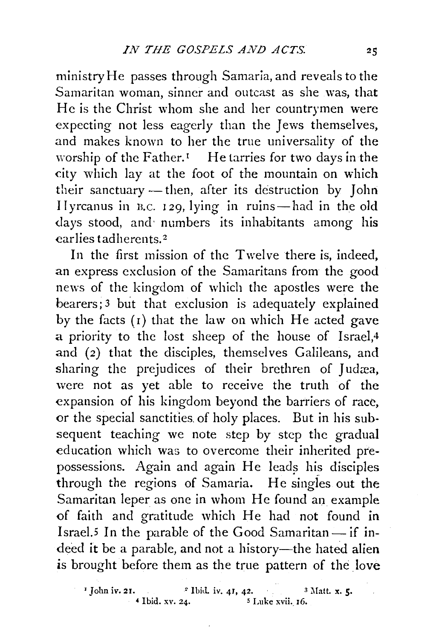ministry He passes through Samaria, and reveals to the Samaritan woman, sinner and outcast as she was, that He is the Christ whom she and her countrymen were expecting not less eagerly than the Jews themselves, and makes known to her the true universality of the worship of the Father.<sup>1</sup> He tarries for two days in the city which lay at the foot of the mountain on which their sanctuary -- then, after its destruction by John IIyrcanus in B.c. 129, lying in ruins-had in the old days stood, and numbers its inhabitants among his ear lies tadherents. <sup>2</sup>

In the first mission of the Twelve there is, indeed, an express exclusion of the Samaritans from the good news of the kingdom of which the apostles were the bearers; 3 but that exclusion is adequately explained by the facts  $(1)$  that the law on which He acted gave a priority to the lost sheep of the house of lsrael,4 and (2) that the disciples, themselves Galileans, and sharing the prejudices of their brethren of Judæa, were not as yet able to receive the truth of the expansion of his kingdom beyond the barriers of race, or the special sanctities. of holy places. But in his subsequent teaching we note step by step the gradual education which was to overcome their inherited prepossessions. Again and again He leads his disciples through the regions of Samaria. He singles out the Samaritan leper as one in whom He found an example of faith and gratitude which He had not found in Israel.<sup>5</sup> In the parable of the Good Samaritan- if indeed it be a parable, and not a history-the hated alien is brought before them as the true pattern of the love

<sup>1</sup> John iv. 21. <sup>2</sup> Ibid. iv. 41, 42. <sup>3</sup> Matt. x. 5.<br>4 Ibid. xv. 24. <sup>5</sup> Luke xvii. 16. <sup>5</sup> Luke xvii. 16.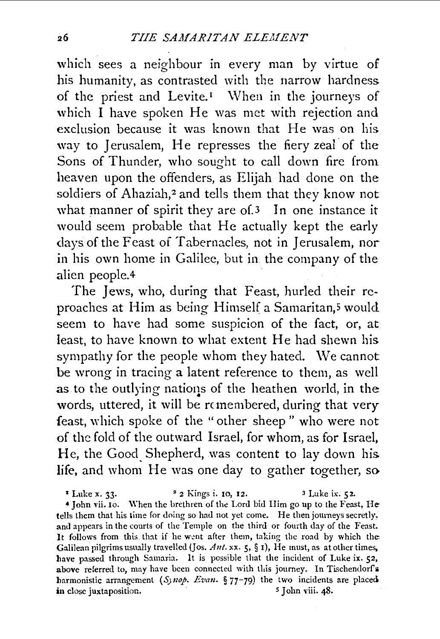which sees a neighbour in every man by virtue of his humanity, as contrasted with the narrow hardness of the priest and Levite.<sup> $I$ </sup> When in the journeys of which I have spoken He was met with rejection and exclusion because it was known that He was on his way to Jerusalem, He represses the fiery zeal· of the Sons of Thunder, who sought to call down fire from heaven upon the offenders, as Elijah had done on the soldiers of Ahaziah,<sup>2</sup> and tells them that they know not what manner of spirit they are of 3 In one instance it would seem probable that He actually kept the early days of the Feast of Tabernacles, not in Jerusalem, nor in his own home in Galilec, but in the company of the alien people.4

The Jews, who, during that Feast, hurled their reproaches at Him as being Himself a Samaritan,<sup>5</sup> would seem to have had some suspicion of the fact, or, at least, to have known to what extent He had shewn his sympathy for the people whom they hated. \Ve cannot be wrong in tracing a latent reference to them, as well as to the outlying natioqs of the heathen world, in the words, uttered, it will be remembered, during that very feast, which spoke of the "other sheep" who were not of the fold of the outward Israel, for whom, as for Israel, He, the Good Shepherd, was content to lay down his. life, and whom He was one day to gather together, so

• Luke x. 33· • 2 Kings i. 10, 12. 3 Luke ix. 52. 4 John vii. Io. \Yhen the brethren of the Lord bid Him go up to the Feast, He tells them that his time for doing so had not yet come. He then joumeys secretly, and appears in the courts of the Temple on the third or fourth day of the Feast. It follows from this that if he went after them, taking the road by which the Galilean pilgrims usually travelled (Jos. Ant. xx. 5, § 1), He must, as at other times, have passed through Samaria. It is possible that the incident of Luke ix. 52, above referred to, may have been connected with this journey. In Tischendorf's harmonistic arrangement (Synop. Evan. § 77-79) the two incidents are placed in close juxtaposition. **b s** John viii. 48.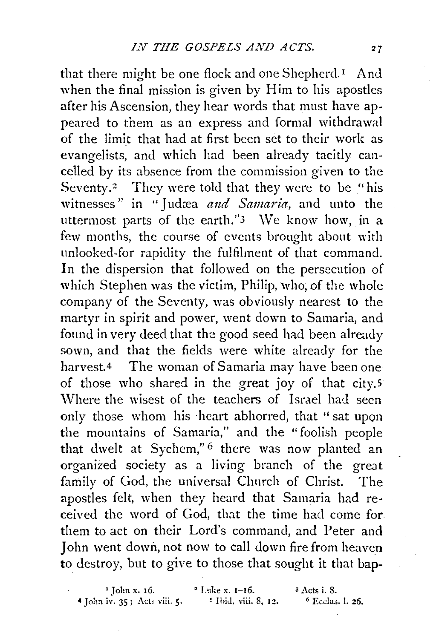that there might be one flock and one Shepherd.<sup>1</sup> And when the final mission is given by Him to his apostles after his Ascension, they hear words that must have appeared to them as an express and formal withdrawal of the limit that had at first been set to their work as evangelists, and which had been already tacitly cancelled by its absence from the commission given to the Seventy.<sup>2</sup> They were told that they were to be "his witnesses" in "Judæa *and Samaria*, and unto the uttermost parts of the earth." $3 \text{ We know how, in a}$ few months, the course of events brought about with unlooked-for rapidity the fulfilment of that command. In the dispersion that followed on the persecution of which Stephen was the victim, Philip, who, of the whole company of the Seventy, was obviously nearest to the martyr in spirit and power, went down to Samaria, and found in very deed that the good seed had been already sown, and that the fields were white already for the harvest.<sup>4</sup> The woman of Samaria may have been one of those who shared in the great joy of that city.<sup>5</sup> Where the wisest of the teachers of Israel had seen only those whom his ·heart abhorred, that "sat upon the mountains of Samaria," and the "foolish people that dwelt at Sychem,"<sup>6</sup> there was now planted an organized society as a living branch of the great family of God, the universal Church of Christ. The apostles felt, when they heard that Samaria had received the word of God, that the time had come for them to act on their Lord's command, and Peter and John went down, not now to call down fire from heaven to destroy, but to give to those that sought it that bap-

<sup>1</sup> John x. 16. <sup>2</sup> L·nke x. 1-16. <sup>3</sup> Acts i. 8.<br>iv. 35; Acts viii. 5. <sup>5</sup> H·id. viii. 8, 12. <sup>6</sup> Ecclus 4 John iv. 35; Acts viii. *5·* s 1hiJ. viii. 8, 12. 6 Ecdu.;. I. 26.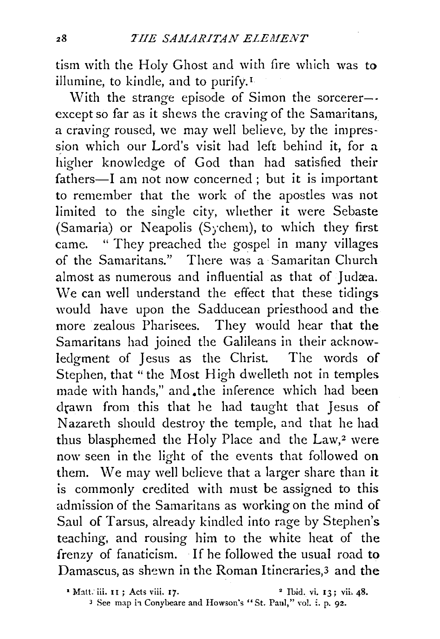tism with the Holy Ghost and with fire which was to illumine, to kindle, and to purify.<sup>1</sup>

With the strange episode of Simon the sorcerer-except so far as it shews the craving of the Samaritans, a craving roused, we may well believe, by the impression which our Lord's visit had left behind it, for a higher knowledge of God than had satisfied their fathers-I am not now concerned; but it is important to remember that the work of the apostles was not limited to the single city, whether it were Sebaste (Samaria) or Neapolis (Sychem), to which they first came. " They preached the gospel in many villages of the Samaritans." There was a Samaritan Church almost as numerous and influential as that of Judæa. We can well understand the effect that these tidings would have upon the Sadducean priesthood and the more zealous Pharisees. They would hear that the Samaritans had joined the Galileans in their acknowledgment of Jesus as the Christ. The words of Stephen, that "the Most High dwelleth not in temples made with hands," and .the inference which had been drawn from this that he had taught that Jesus of Nazareth should destroy the temple, and that he had thus blasphemed the Holy Place and the  $Law, 2$  were now seen in the light of the events that followed on them. We may well believe that a larger share than it is commonly credited with must be assigned to this admission of the Samaritans as working on the mind of Saul of Tarsus, already kindled into rage by Stephen's teaching, and rousing him to the white heat of the frenzy of fanaticism. If he followed the usual road to Damascus, as shewn in the Roman Itineraries,<sup>3</sup> and the

<sup>•</sup> Matt. iii. 11; Acts viii. 17. 2 Ibid. vi. 13; vii. 48.

<sup>&</sup>lt;sup>3</sup> See map in Conybeare and Howson's "St. Paul," vol. i. p. 92.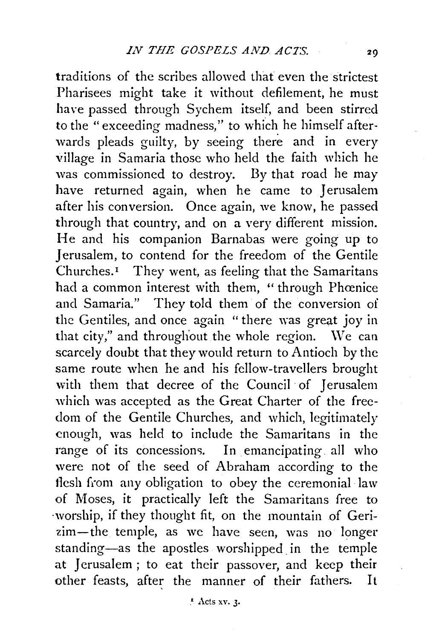traditions of the scribes allowed that even the strictest Pharisees might take it without defilement, he must have passed through Sychem itself, and been stirred to the "exceeding madness," to which he himself afterwards pleads guilty, by seeing there and in every village in Samaria those who held the faith which he was commissioned to destroy. By that road he may have returned again, when he came to Jerusalem after his conversion. Once again, we know, he passed through that country, and on a very different mission. He and his companion Barnabas were going up to Jerusalem, to contend for the freedom of the Gentile Churches.<sup>1</sup> They went, as feeling that the Samaritans had a common interest with them, "through Phœnice and Samaria." They told them of the conversion of the Gentiles, and once again " there was great joy in that city," and throughout the whole region. We can scarcely doubt that they would return to Antioch by the same route when he and his fellow-travellers brought with them that decree of the Council of Jerusalem which was accepted as the Great Charter of the freedom of the Gentile Churches, and which, legitimately enough, was held to include the Samaritans in the range of its concessions. In emancipating all who were not of the seed of Abraham according to the flesh from any obligation to obey the ceremonial law of Moses, it practically left the Samaritans free to ·worship, if they thought fit, on the mountain of Gerizim-the temple, as we have seen, was no longer standing-as the apostles worshipped in the temple at Jerusalem ; to eat their passover, and keep their other feasts, after the manner of their fathers. It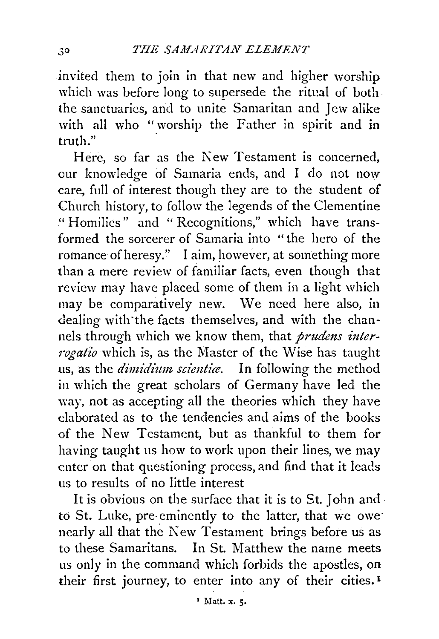invited them to join in that new and higher worship which was before long to supersede the ritual of both the sanctuaries, and to unite Samaritan and Jew alike with all who "worship the Father in spirit and in truth."

Here, so far as the New Testament is concerned, cur knowledge of Samaria ends, and I do not now care, full of interest though they are to the student of Church history, to follow the legends of the Clementine " Homilies" and " Recognitions," which have transformed the sorcerer of Samaria into "the hero of the romance of heresy." I aim, however, at something more than a mere review of familiar facts, even though that review may have placed some of them in a light which may be comparatively new. We need here also, in dealing with'the facts themselves, and with the channels through which we know them, that *prudens interrogatio* which is, as the Master of the Wise has taught us, as the *dimidium scientic*. In following the method in which the great scholars of Germany have led the way, not as accepting all the theories which they have elaborated as to the tendencies and aims of the books of the New Testament, but as thankful to them for having taught us how to work upon their lines, we may enter on that questioning process, and find that it leads us to results of no little interest

It is obvious on the surface that it is to St. John and to St. Luke, pre-eminently to the latter, that we owe nearly all that the New Testament brings before us as to these Samaritans. In St. Matthew the name meets us only in the command which forbids the apostles, on their first journey, to enter into any of their cities.<sup>1</sup>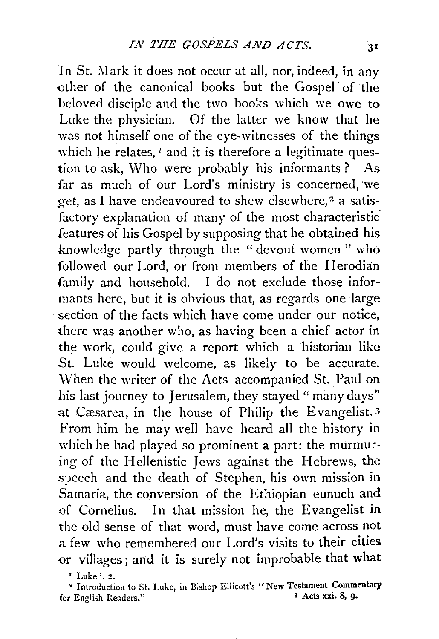In St. Mark it does not occur at all, nor, indeed, in any other of the canonical books but the Gospel of the beloved disciple and the two books which we owe to Luke the physician. Of the latter we know that he was not himself one of the eye-witnesses of the things which he relates,  $l$  and it is therefore a legitimate question to ask, Who were probably his informants? As far as much of our Lord's ministry is concerned, we get, as I have endeavoured to shew elsewhere,<sup>2</sup> a satisfactory explanation of many of the most characteristic features of his Gospel by supposing that he obtained his knowledge partly through the "devout women" who followed our Lord, or from members of the Herodian family and household. I do not exclude those informants here, but it is obvious that, as regards one large section of the facts which have come under our notice, there was another who, as having been a chief actor in the work, could give a report which a historian like St. Luke would welcome, as likely to be accurate. \Vhen the writer of the Acts accompanied St. Paul on his last journey to Jerusalem, they stayed " many days" at Cæsarea, in the house of Philip the Evangelist.<sup>3</sup> From him he may well have heard all the history in which he had played so prominent a part: the murmuring of the Hellenistic Jews against the Hebrews, the speech and the death of Stephen, his own mission in Samaria, the conversion of the Ethiopian eunuch and of Cornelius. In that mission he, the Evangelist in the old sense of that word, must have come across not a few who remembered our Lord's visits to their cities or villages; and it is surely not improbable that what

' Luke i. 2.

<sup>9</sup> Introduction to St. Luke, in Bishop Ellicott's "New Testament Commentary<br>r English Readers."<br>Residence of the state of the state of the state of the state of the state of the state of the state of the state of the stat (or English Readers."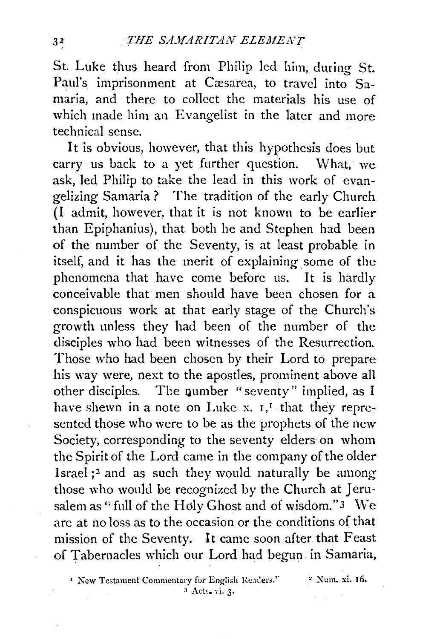St. Luke thus heard from Philip led him, during St. Paul's imprisonment at Cæsarea, to travel into Samaria, and there to collect the materials his use of which made him an Evangelist in the later and more technical sense.

It is obvious, however, that this hypothesis does but carry us back to a yet further question. What, we ask, led Philip to take the lead in this work of evangelizing Samaria ? The tradition of the early Church (I admit, however, that it is not known to be earlier than Epiphanius), that both he and Stephen had been of the number of the Seventy, is at least probable in itself, and it has the merit of explaining some of the phenomena that have come before us. It is hardly conceivable that men should have been chosen for a conspicuous work at that early stage of the Church's growth unless they had been of the number of the disciples who had been witnesses of the Resurrection. Those who had been chosen by their Lord to prepare his way were, next to the apostles, prominent above all other disciples. The number "seventy" implied, as I have shewn in a note on Luke x.  $I, I$  that they represented those who were to be as the prophets of the new Society, corresponding to the seventy elders on whom the Spirit of the Lord came in the company of the older Israel ;2 and as such they would naturally be among those who would be recognized by the Church at Jerusalem as " full of the Holy Ghost and of wisdom." 3 We are at no loss as to the occasion or the conditions of that mission of the Seventy. It came soon after that Feast of Tabernacles which our Lord had begun in Samaria,

 $P$  New Testament Commentary for English Readers." <sup>3</sup> Acts. vi. 3.

2 Num. xi. 16.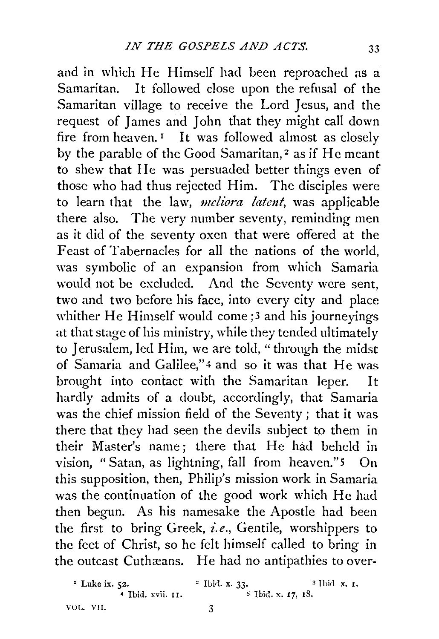and in which He Himself had been reproached as a Samaritan. It followed close upon the refusal of the Samaritan village to receive the Lord Jesus, and the request of James and John that they might call down fire from heaven.<sup> $I$ </sup> It was followed almost as closely by the parable of the Good Samaritan,<sup>2</sup> as if He meant to shew that He was persuaded better things even of those who had thus rejected Him. The disciples were to learn that the law, *meliora latent*, was applicable there also. The very number seventy, reminding men as it did of the seventy oxen that were offered at the Feast of Tabernacles for all the nations of the world, was symbolic of an expansion from which Samaria would not be excluded. And the Seventy were sent, two and two before his face, into every city and place whither He Himself would come;<sup>3</sup> and his journeyings at that stage of his ministry, while they tended ultimately to Jerusalem, led Him, we are told, "through the midst of Samaria and Galilee," 4 and so it was that He was brought into contact with the Samaritan leper. It hardly admits of a doubt, accordingly, that Samaria was the chief mission field of the Seventy; that it was there that they had seen the devils subject to them in their Master's name; there that He had beheld in vision, "Satan, as lightning, fall from heaven."5 On this supposition, then, Philip's mission work in Samaria was the continuation of the good work which He had then begun. As his namesake the Apostle had been the first to bring Greek, *i.e.*, Gentile, worshippers to the feet of Christ, so he felt himself called to bring in the outcast Cuthæans. He had no antipathies to over-

<sup>1</sup> Luke ix. 52. <sup>2</sup> Ibid. x. 33. <sup>3</sup> Ibid. x. 1.<br><sup>4</sup> Ibid. xvii. 11. <sup>5</sup> Ibid. x. 17. 18. <sup>5</sup> Ibid. x. 17, 18. VOL. VII. 3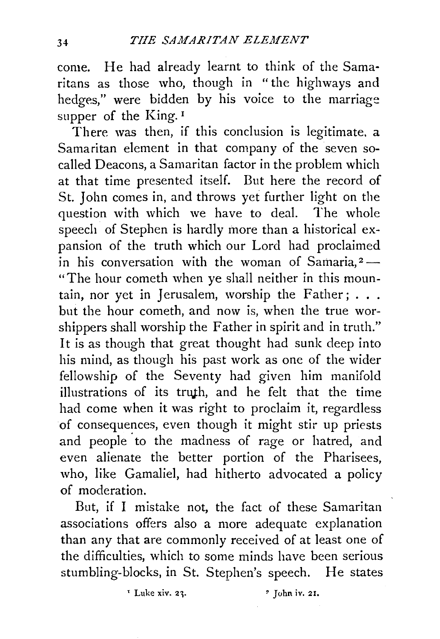come. He had already learnt to think of the Samaritans as those who, though in "the highways and hedges," were bidden by his voice to the marriage supper of the King.<sup>1</sup>

There was then, if this conclusion is legitimate. a Samaritan element in that company of the seven socalled Deacons, a Samaritan factor in the problem which at that time presented itself. But here the record of St. John comes in, and throws yet further light on the question with which we have to deal. The whole speech of Stephen is hardly more than a historical expansion of the truth which our Lord had proclaimed in his conversation with the woman of Samaria, $2-$ "The hour cometh when ye shall neither in this mountain, nor yet in Jerusalem, worship the Father;  $\dots$ . but the hour cometh, and now is, when the true worshippers shall worship the Father in spirit and in truth." It is as though that great thought had sunk deep into his mind, as though his past work as one of the wider fellowship of the Seventy had given him manifold illustrations of its truth, and he felt that the time had come when it was right to proclaim it, regardless of consequences, even though it might stir up priests and people to the madness of rage or hatred, and even alienate the better portion of the Pharisees, who, like Gamaliel, had hitherto advocated a policy of moderation.

But, if I mistake not, the fact of these Samaritan associations offers also a more adequate explanation than any that are commonly received of at least one of the difficulties, which to some minds have been serious stumbling-blocks, in St. Stephen's speech. He states

 $\frac{1}{2}$  Luke xiv. 23.  $\frac{1}{2}$  John iv. 21.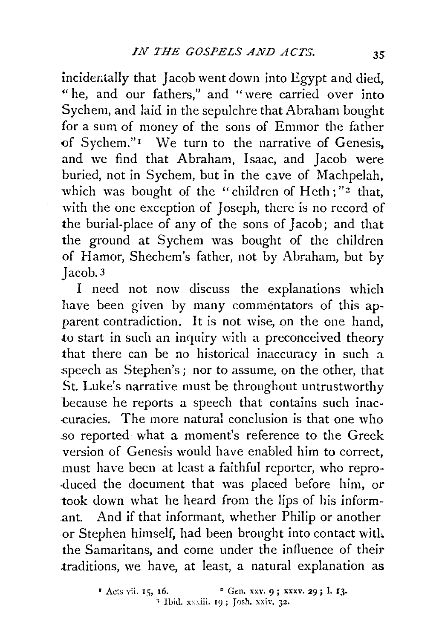incidentally that Jacob went down into Egypt and died, " he, and our fathers," and " were carried over into Sychem, and laid in the sepulchre that Abraham bought for a sum of money of the sons of Emmor the father of Sychem."<sup>1</sup> We turn to the narrative of Genesis, and we find that Abraham, Isaac, and Jacob were buried, not in Sychem, but in the cave of Machpelah, which was bought of the ''children of Heth; *"z* that, with the one exception of Joseph, there is no record of the burial-place of any of the sons of Jacob; and that the ground at Sychem was bought of the children of Hamor, Shechem's father, not by Abraham, but by Jacob. 3

I need not now discuss the explanations which have been given by many commentators of this apparent contradiction. It is not wise, on the one hand, to start in such an inquiry with a preconceived theory that there can be no historical inaccuracy in such a speech as Stephen's; nor to assume, on the other, that St. Luke's narrative must be throughout untrustworthy because he reports a speech that contains such inac- -curacies. The more natural conclusion is that one who .so reported what a moment's reference to the Greek version of Genesis would have enabled him to correct, must have been at least a faithful reporter, who repro- ·duced the document that was placed before him, or took down what he heard from the lips of his inform-· .ant. And if that informant, whether Philip or another or Stephen himself, had been brought into contact witL the Samaritans, and come under the influence of their traditions, we have, at least, a natural explanation as

 $1 \text{ A}$ cts vii. 15, 16. • <sup>2</sup> Gen. xxv. 9; xxxv. 29; 1. 13. ' Ibid. xxxiii. 19; Josh. xxiv. 32.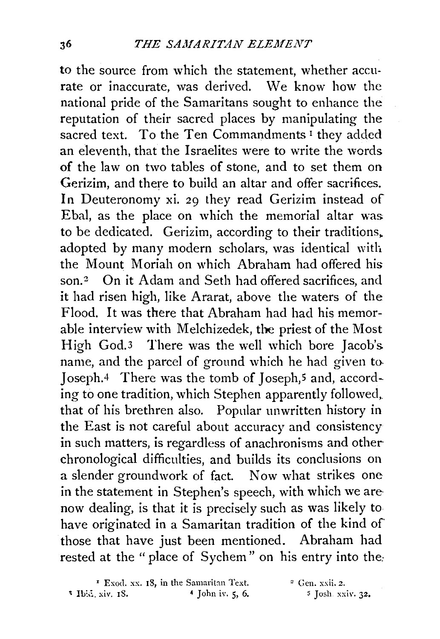to the source from which the statement, whether accurate or inaccurate, was derived. We know how the national pride of the Samaritans sought to enhance the reputation of their sacred places by manipulating the sacred text. To the Ten Commandments<sup>1</sup> they added an eleventh, that the Israelites were to write the words of the law on two tables of stone, and to set them on Gerizim, and there to build an altar and offer sacrifices. In Deuteronomy xi. 29 they read Gerizim instead of Ebal, as the place on which the memorial altar was to be dedicated. Gerizim, according to their traditions. adopted by many modern scholars, was identical with the Mount Moriah on which Abraham had offered his son.<sup>2</sup> On it Adam and Seth had offered sacrifices, and it had risen high, like Ararat, above the waters of the Flood. It was there that Abraham had had his memorable interview with Melchizedek, the priest of the Most High God.3 There was the well which bore Jacob's name, and the parcel of ground which he had given to. Joseph.4 There was the tomb of Joseph,5 and, according to one tradition, which Stephen apparently followed, that of his brethren also. Popular unwritten history in the East is not careful about accuracy and consistency in such matters, is regardless of anachronisms and otherchronological difficulties, and builds its conclusions on a slender groundwork of fact. Now what strikes one in the statement in Stephen's speech, with which we are now dealing, is that it is precisely such as was likely to have originated in a Samaritan tradition of the kind of those that have just been mentioned. Abraham had rested at the " place of Sychem" on his entry into the:

 $\cdot$  Exod. xx. 18, in the Samaritan Text.  $\cdot$  Gen. xxii. 2.  $1 \text{ b.i. xiv. } 18.$  4 John iv. 5, 6. s Josh xxiv. 32.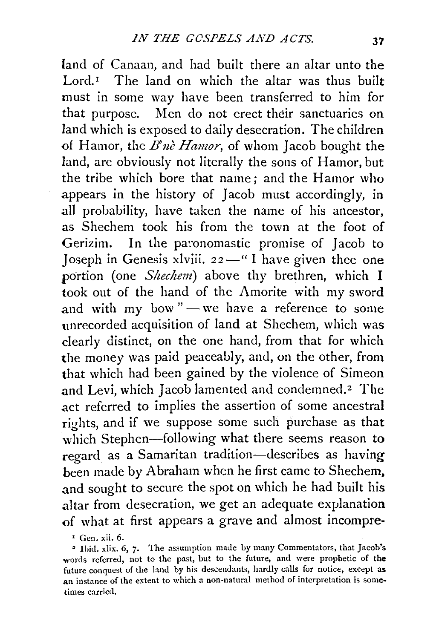land of Canaan, and had built there an altar unto the Lord.<sup> $I$ </sup> The land on which the altar was thus built must in some way have been transferred to him for that purpose. Men do not erect their sanctuaries on land which is exposed to daily desecration. The children of Hamor, the *B'nè Hamor*, of whom Jacob bought the land, are obviously not literally the sons of Hamor, but the tribe which bore that name; and the Hamor who appears in the history of Jacob must accordingly, in all probability, have taken the name of his ancestor, as Shechem took his from the town at the foot of Gerizim. In the paronomastic promise of Jacob to Joseph in Genesis xlviii.  $22 -$ " I have given thee one portion (one *Shechem)* above thy brethren, which I took out of the hand of the Amorite with my sword and with my bow" $-$  we have a reference to some unrecorded acquisition of land at Shechem, which was clearly distinct, on the one hand, from that for which the money was paid peaceably, and, on the other, from that which had been gained by the violence of Simeon and Levi, which Jacob lamented and condemned.<sup>2</sup> The act referred to implies the assertion of some ancestral rights, and if we suppose some such purchase as that which Stephen-following what there seems reason to regard as a Samaritan tradition-describes as having been made by Abraham when he first came to Shechem, and sought to secure the spot on which he had built his altar from desecration, we get an adequate explanation of what at first appears a grave and almost incompre-

, Gen. xii. 6.

• Ibid. xlix. 6, 7· The assumption made by many Commentators, that Jacob's words referred, not to the past, but to the future, and were prophetic of the future conquest of the land by his descendants, hardly calls for notice, except as an instance of the extent to which a non-natural method of interpretation is sometimes carried.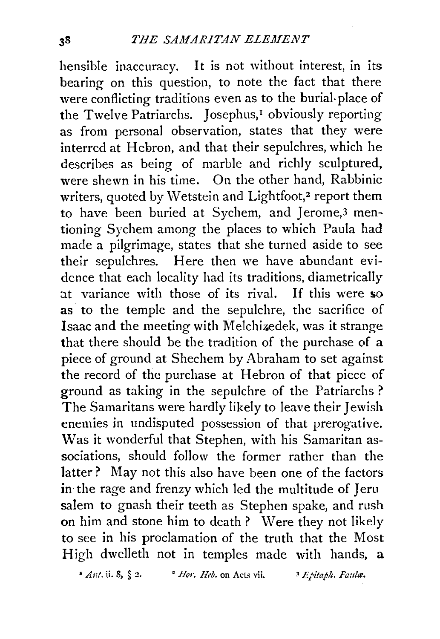hensible inaccuracy. It is not without interest, in its bearing on this question, to note the fact that there were conflicting traditions even as to the burial-place of the Twelve Patriarchs. Josephus,<sup>1</sup> obviously reporting as from personal observation, states that they were interred at Hebron, and that their sepulchres, which he describes as being of marble and richly sculptured, were shewn in his time. On the other hand, Rabbinic writers, quoted by Wetstein and Lightfoot,<sup>2</sup> report them to have been buried at Sychem, and Jerome,3 mentioning Sychem among the places to which Paula had made a pilgrimage, states that she turned aside to see their sepulchres. Here then we have abundant evidence that each locality had its traditions, diametrically at variance with those of its rival. If this were so as to the temple and the sepulchre, the sacrifice of Isaac and the meeting with Melchizedek, was it strange that there should be the tradition of the purchase of a piece of ground at Shechem by Abraham to set against the record of the purchase at Hebron of that piece of ground as taking in the sepulchre of the Patriarchs ? The Samaritans were hardly likely to leave their Jewish enemies in undisputed possession of that prerogative. Was it wonderful that Stephen, with his Samaritan associations, should follow the former rather than the latter? May not this also have been one of the factors in the rage and frenzy which led the multitude of Jeru salem to gnash their teeth as Stephen spake, and rush on him and stone him to death? Were they not likely to see in his proclamation of the truth that the Most High dwelleth not in temples made with hands, a

 $*$  *Ant.* ii. 8,  $§$  2.  $*$  *P Hor. Heb.* on Acts vii.  $*$  *Epitaph. Faula.*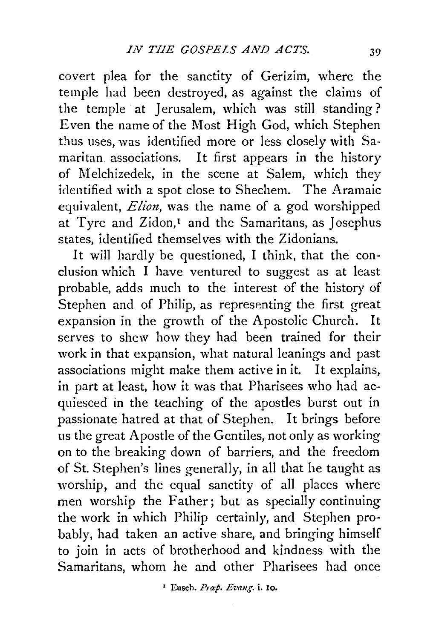covert plea for the sanctity of Gerizim, where the temple had been destroyed, as against the claims of the temple at Jerusalem, which was still standing? Even the name of the Most High God, which Stephen thus uses, was identified more or less closely with Samaritan associations. It first appears in the history of Melchizedek, in the scene at Salem, which they identified with a spot close to Shechem. The Aramaic equivalent, *Elion,* was the name of a god worshipped at Tyre and Zidon,<sup>1</sup> and the Samaritans, as Josephus states, identified themselves with the Zidonians.

It will hardly be questioned, I think, that the conclusion which I have ventured to suggest as at least probable, adds much to the interest of the history of Stephen and of Philip, as representing the first great expansion in the growth of the Apostolic Church. It serves to shew how they had been trained for their work in that expansion, what natural leanings and past associations might make them active in it. It explains, in part at least, how it was that Pharisees who had acquiesced in the teaching of the apostles burst out in passionate hatred at that of Stephen. It brings before us the great Apostle of the Gentiles, not only as working on to the breaking down of barriers, and the freedom of St. Stephen's lines generally, in all that he taught as worship, and the equal sanctity of all places where men worship the Father; but as specially continuing the work in which Philip certainly, and Stephen probably, had taken an active share, and bringing himself to join in acts of brotherhood and kindness with the Samaritans, whom he and other Pharisees had once

1 Euseh. Pnxp. *Emng.* i. 10.